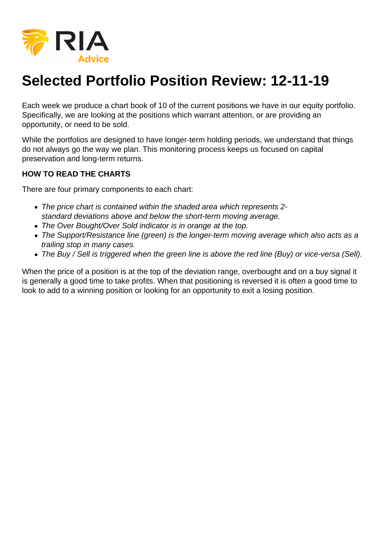

## **Selected Portfolio Position Review: 12-11-19**

Each week we produce a chart book of 10 of the current positions we have in our equity portfolio. Specifically, we are looking at the positions which warrant attention, or are providing an opportunity, or need to be sold.

While the portfolios are designed to have longer-term holding periods, we understand that things do not always go the way we plan. This monitoring process keeps us focused on capital preservation and long-term returns.

## **HOW TO READ THE CHARTS**

There are four primary components to each chart:

- The price chart is contained within the shaded area which represents 2 standard deviations above and below the short-term moving average.
- The Over Bought/Over Sold indicator is in orange at the top.
- The Support/Resistance line (green) is the longer-term moving average which also acts as a trailing stop in many cases.
- The Buy / Sell is triggered when the green line is above the red line (Buy) or vice-versa (Sell).

When the price of a position is at the top of the deviation range, overbought and on a buy signal it is generally a good time to take profits. When that positioning is reversed it is often a good time to look to add to a winning position or looking for an opportunity to exit a losing position.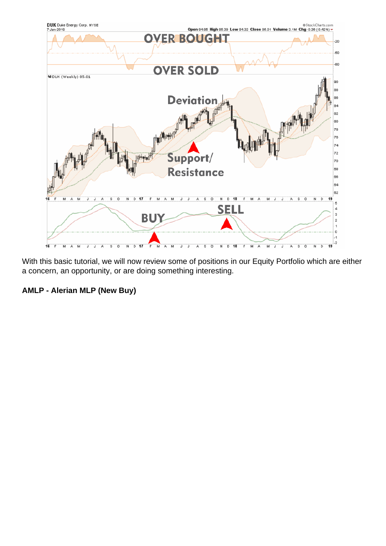With this basic tutorial, we will now review some of positions in our Equity Portfolio which are either a concern, an opportunity, or are doing something interesting.

AMLP - Alerian MLP (New Buy)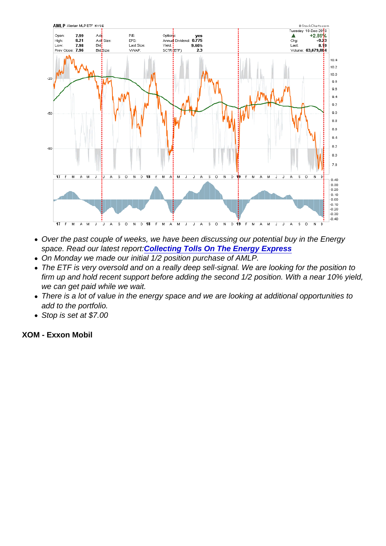- Over the past couple of weeks, we have been discussing our potential buy in the Energy space. Read our latest report[:Collecting Tolls On The Energy Express](https://realinvestmentadvice.com/collecting-tolls-on-the-energy-express/)
- On Monday we made our initial 1/2 position purchase of AMLP.
- The ETF is very oversold and on a really deep sell-signal. We are looking for the position to firm up and hold recent support before adding the second 1/2 position. With a near 10% yield, we can get paid while we wait.
- There is a lot of value in the energy space and we are looking at additional opportunities to add to the portfolio.
- Stop is set at \$7.00

XOM - Exxon Mobil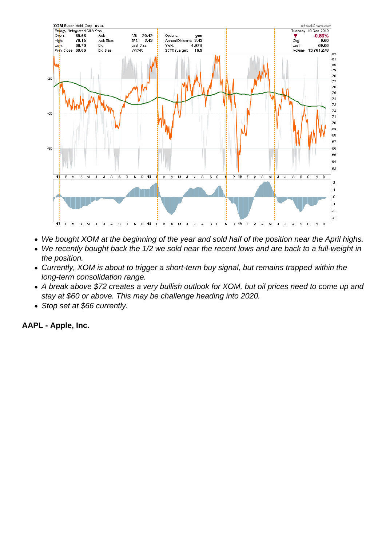

- We bought XOM at the beginning of the year and sold half of the position near the April highs.
- We recently bought back the 1/2 we sold near the recent lows and are back to a full-weight in  $\bullet$ the position.
- Currently, XOM is about to trigger a short-term buy signal, but remains trapped within the long-term consolidation range.
- A break above \$72 creates a very bullish outlook for XOM, but oil prices need to come up and stay at \$60 or above. This may be challenge heading into 2020.
- Stop set at \$66 currently.

**AAPL - Apple, Inc.**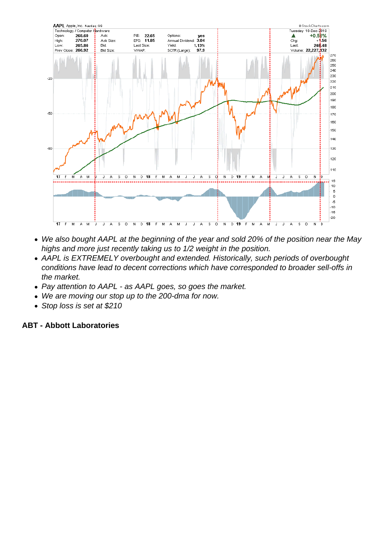- We also bought AAPL at the beginning of the year and sold 20% of the position near the May highs and more just recently taking us to 1/2 weight in the position.
- AAPL is EXTREMELY overbought and extended. Historically, such periods of overbought conditions have lead to decent corrections which have corresponded to broader sell-offs in the market.
- Pay attention to AAPL as AAPL goes, so goes the market.
- We are moving our stop up to the 200-dma for now.
- Stop loss is set at \$210

ABT - Abbott Laboratories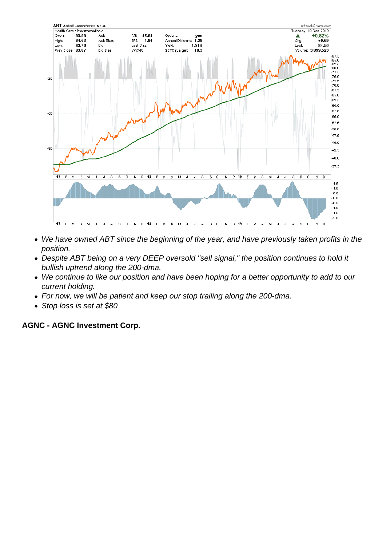- We have owned ABT since the beginning of the year, and have previously taken profits in the position.
- Despite ABT being on a very DEEP oversold "sell signal," the position continues to hold it bullish uptrend along the 200-dma.
- We continue to like our position and have been hoping for a better opportunity to add to our current holding.
- For now, we will be patient and keep our stop trailing along the 200-dma.
- Stop loss is set at \$80

AGNC - AGNC Investment Corp.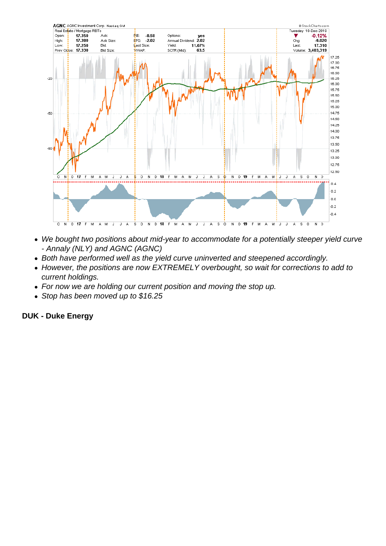

- We bought two positions about mid-year to accommodate for a potentially steeper yield curve - Annaly (NLY) and AGNC (AGNC)
- Both have performed well as the yield curve uninverted and steepened accordingly.
- However, the positions are now EXTREMELY overbought, so wait for corrections to add to current holdings.
- For now we are holding our current position and moving the stop up.
- Stop has been moved up to \$16.25

## **DUK - Duke Energy**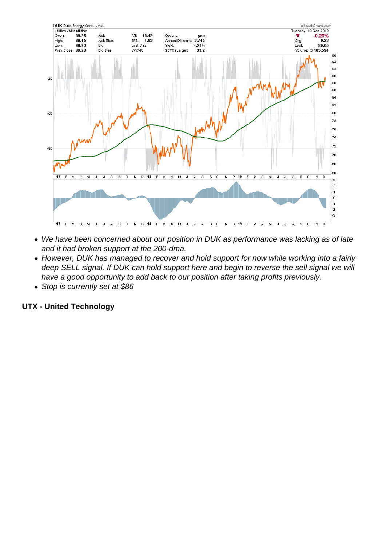- We have been concerned about our position in DUK as performance was lacking as of late and it had broken support at the 200-dma.
- However, DUK has managed to recover and hold support for now while working into a fairly deep SELL signal. If DUK can hold support here and begin to reverse the sell signal we will have a good opportunity to add back to our position after taking profits previously.
- Stop is currently set at \$86

UTX - United Technology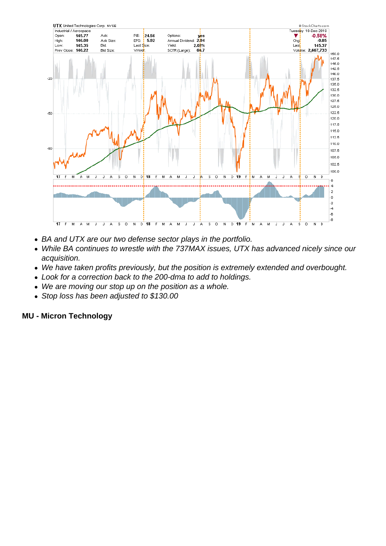- BA and UTX are our two defense sector plays in the portfolio.
- While BA continues to wrestle with the 737MAX issues, UTX has advanced nicely since our acquisition.
- We have taken profits previously, but the position is extremely extended and overbought.
- Look for a correction back to the 200-dma to add to holdings.
- We are moving our stop up on the position as a whole.
- Stop loss has been adjusted to \$130.00

MU - Micron Technology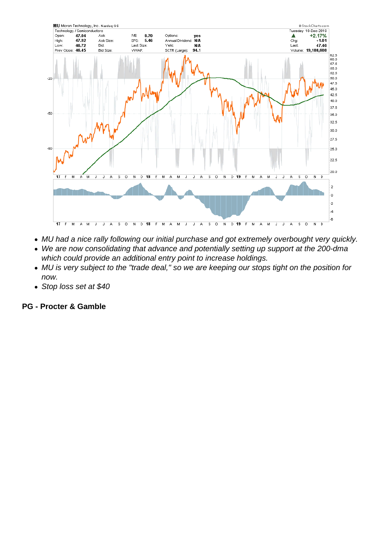- MU had a nice rally following our initial purchase and got extremely overbought very quickly.
- We are now consolidating that advance and potentially setting up support at the 200-dma which could provide an additional entry point to increase holdings.
- MU is very subject to the "trade deal," so we are keeping our stops tight on the position for now.
- Stop loss set at \$40

PG - Procter & Gamble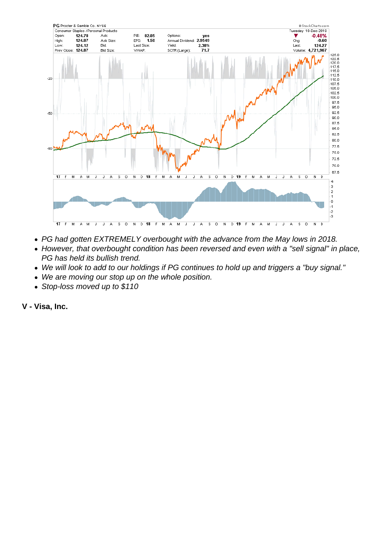- PG had gotten EXTREMELY overbought with the advance from the May lows in 2018.
- However, that overbought condition has been reversed and even with a "sell signal" in place, PG has held its bullish trend.
- We will look to add to our holdings if PG continues to hold up and triggers a "buy signal."
- We are moving our stop up on the whole position.
- Stop-loss moved up to \$110

V - Visa, Inc.